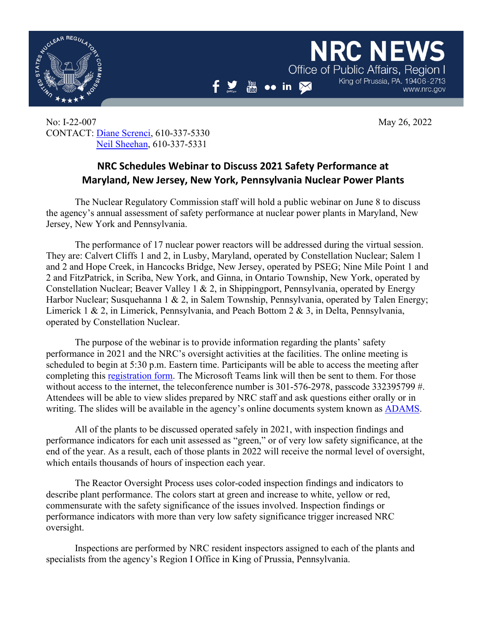

www.nrc.gov

King of Prussia, PA, 19406-2713

**NRC NET** 

Office of Public Affairs, Region

No: I-22-007 May 26, 2022 CONTACT: [Diane Screnci,](mailto:diane.screnci@nrc.gov) 610-337-5330 [Neil Sheehan,](mailto:neil.sheehan@nrc.gov) 610-337-5331

## **NRC Schedules Webinar to Discuss 2021 Safety Performance at Maryland, New Jersey, New York, Pennsylvania Nuclear Power Plants**

 $\frac{You}{fma}$ 

 $\bullet \bullet$  in  $\boxtimes$ 

The Nuclear Regulatory Commission staff will hold a public webinar on June 8 to discuss the agency's annual assessment of safety performance at nuclear power plants in Maryland, New Jersey, New York and Pennsylvania.

The performance of 17 nuclear power reactors will be addressed during the virtual session. They are: Calvert Cliffs 1 and 2, in Lusby, Maryland, operated by Constellation Nuclear; Salem 1 and 2 and Hope Creek, in Hancocks Bridge, New Jersey, operated by PSEG; Nine Mile Point 1 and 2 and FitzPatrick, in Scriba, New York, and Ginna, in Ontario Township, New York, operated by Constellation Nuclear; Beaver Valley 1 & 2, in Shippingport, Pennsylvania, operated by Energy Harbor Nuclear; Susquehanna 1 & 2, in Salem Township, Pennsylvania, operated by Talen Energy; Limerick 1 & 2, in Limerick, Pennsylvania, and Peach Bottom 2 & 3, in Delta, Pennsylvania, operated by Constellation Nuclear.

The purpose of the webinar is to provide information regarding the plants' safety performance in 2021 and the NRC's oversight activities at the facilities. The online meeting is scheduled to begin at 5:30 p.m. Eastern time. Participants will be able to access the meeting after completing this [registration form.](https://forms.office.com/Pages/ResponsePage.aspx?id=dRTQ6LXDakOgZV3vTGT1Lib2_54wY8FIvh6nM0FNTTtURFhDNVI3VUNOTUxTQjhNNFozWVAzMjVXOSQlQCN0PWcu&wdLOR=cF5EC4F5C-BE56-4945-962B-438DEA24E19B) The Microsoft Teams link will then be sent to them. For those without access to the internet, the teleconference number is 301-576-2978, passcode 332395799 #. Attendees will be able to view slides prepared by NRC staff and ask questions either orally or in writing. The slides will be available in the agency's online documents system known as [ADAMS.](https://www.nrc.gov/reading-rm/adams.html)

All of the plants to be discussed operated safely in 2021, with inspection findings and performance indicators for each unit assessed as "green," or of very low safety significance, at the end of the year. As a result, each of those plants in 2022 will receive the normal level of oversight, which entails thousands of hours of inspection each year.

The Reactor Oversight Process uses color-coded inspection findings and indicators to describe plant performance. The colors start at green and increase to white, yellow or red, commensurate with the safety significance of the issues involved. Inspection findings or performance indicators with more than very low safety significance trigger increased NRC oversight.

Inspections are performed by NRC resident inspectors assigned to each of the plants and specialists from the agency's Region I Office in King of Prussia, Pennsylvania.